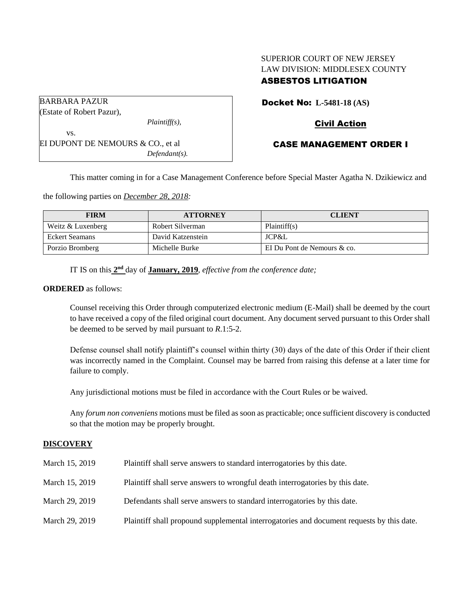# SUPERIOR COURT OF NEW JERSEY LAW DIVISION: MIDDLESEX COUNTY ASBESTOS LITIGATION

BARBARA PAZUR (Estate of Robert Pazur), *Plaintiff(s),* vs.

EI DUPONT DE NEMOURS & CO., et al *Defendant(s).* Docket No: **L-5481-18 (AS)**

# Civil Action

# CASE MANAGEMENT ORDER I

This matter coming in for a Case Management Conference before Special Master Agatha N. Dzikiewicz and

the following parties on *December 28, 2018:*

| <b>FIRM</b>       | <b>ATTORNEY</b>   | <b>CLIENT</b>               |
|-------------------|-------------------|-----------------------------|
| Weitz & Luxenberg | Robert Silverman  | Plaintiff(s)                |
| Eckert Seamans    | David Katzenstein | JCP&L                       |
| Porzio Bromberg   | Michelle Burke    | EI Du Pont de Nemours & co. |

IT IS on this  $2<sup>nd</sup>$  day of **January, 2019**, *effective from the conference date*;

### **ORDERED** as follows:

Counsel receiving this Order through computerized electronic medium (E-Mail) shall be deemed by the court to have received a copy of the filed original court document. Any document served pursuant to this Order shall be deemed to be served by mail pursuant to *R*.1:5-2.

Defense counsel shall notify plaintiff's counsel within thirty (30) days of the date of this Order if their client was incorrectly named in the Complaint. Counsel may be barred from raising this defense at a later time for failure to comply.

Any jurisdictional motions must be filed in accordance with the Court Rules or be waived.

Any *forum non conveniens* motions must be filed as soon as practicable; once sufficient discovery is conducted so that the motion may be properly brought.

# **DISCOVERY**

| March 15, 2019 | Plaintiff shall serve answers to standard interrogatories by this date.                   |
|----------------|-------------------------------------------------------------------------------------------|
| March 15, 2019 | Plaintiff shall serve answers to wrongful death interrogatories by this date.             |
| March 29, 2019 | Defendants shall serve answers to standard interrogatories by this date.                  |
| March 29, 2019 | Plaintiff shall propound supplemental interrogatories and document requests by this date. |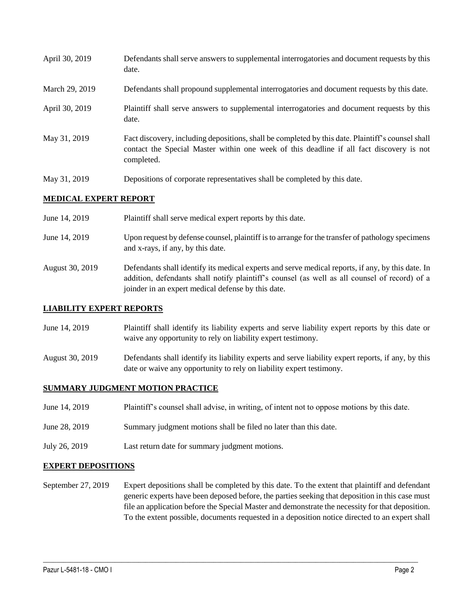| April 30, 2019 | Defendants shall serve answers to supplemental interrogatories and document requests by this<br>date.                                                                                                       |
|----------------|-------------------------------------------------------------------------------------------------------------------------------------------------------------------------------------------------------------|
| March 29, 2019 | Defendants shall propound supplemental interrogatories and document requests by this date.                                                                                                                  |
| April 30, 2019 | Plaintiff shall serve answers to supplemental interrogatories and document requests by this<br>date.                                                                                                        |
| May 31, 2019   | Fact discovery, including depositions, shall be completed by this date. Plaintiff's counsel shall<br>contact the Special Master within one week of this deadline if all fact discovery is not<br>completed. |
| May 31, 2019   | Depositions of corporate representatives shall be completed by this date.                                                                                                                                   |

### **MEDICAL EXPERT REPORT**

| June 14, 2019   | Plaintiff shall serve medical expert reports by this date.                                                                                                                                                                                               |
|-----------------|----------------------------------------------------------------------------------------------------------------------------------------------------------------------------------------------------------------------------------------------------------|
| June 14, 2019   | Upon request by defense counsel, plaintiff is to arrange for the transfer of pathology specimens<br>and x-rays, if any, by this date.                                                                                                                    |
| August 30, 2019 | Defendants shall identify its medical experts and serve medical reports, if any, by this date. In<br>addition, defendants shall notify plaintiff's counsel (as well as all counsel of record) of a<br>joinder in an expert medical defense by this date. |

### **LIABILITY EXPERT REPORTS**

- June 14, 2019 Plaintiff shall identify its liability experts and serve liability expert reports by this date or waive any opportunity to rely on liability expert testimony.
- August 30, 2019 Defendants shall identify its liability experts and serve liability expert reports, if any, by this date or waive any opportunity to rely on liability expert testimony.

#### **SUMMARY JUDGMENT MOTION PRACTICE**

- June 14, 2019 Plaintiff's counsel shall advise, in writing, of intent not to oppose motions by this date.
- June 28, 2019 Summary judgment motions shall be filed no later than this date.
- July 26, 2019 Last return date for summary judgment motions.

#### **EXPERT DEPOSITIONS**

September 27, 2019 Expert depositions shall be completed by this date. To the extent that plaintiff and defendant generic experts have been deposed before, the parties seeking that deposition in this case must file an application before the Special Master and demonstrate the necessity for that deposition. To the extent possible, documents requested in a deposition notice directed to an expert shall

 $\_$  ,  $\_$  ,  $\_$  ,  $\_$  ,  $\_$  ,  $\_$  ,  $\_$  ,  $\_$  ,  $\_$  ,  $\_$  ,  $\_$  ,  $\_$  ,  $\_$  ,  $\_$  ,  $\_$  ,  $\_$  ,  $\_$  ,  $\_$  ,  $\_$  ,  $\_$  ,  $\_$  ,  $\_$  ,  $\_$  ,  $\_$  ,  $\_$  ,  $\_$  ,  $\_$  ,  $\_$  ,  $\_$  ,  $\_$  ,  $\_$  ,  $\_$  ,  $\_$  ,  $\_$  ,  $\_$  ,  $\_$  ,  $\_$  ,